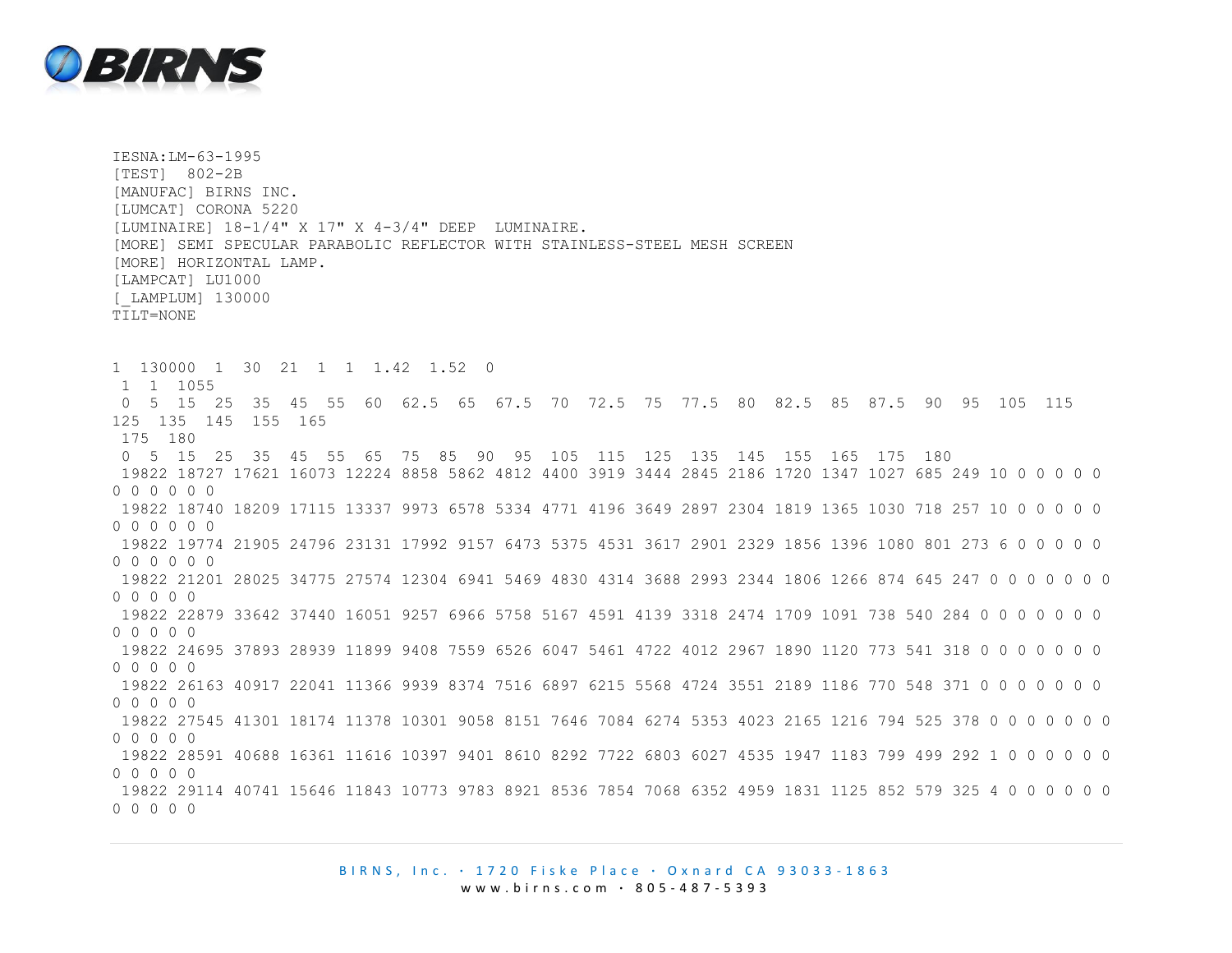

IESNA:LM-63-1995 [TEST] 802-2B [MANUFAC] BIRNS INC. [LUMCAT] CORONA 5220 [LUMINAIRE] 18-1/4" X 17" X 4-3/4" DEEP LUMINAIRE. [MORE] SEMI SPECULAR PARABOLIC REFLECTOR WITH STAINLESS-STEEL MESH SCREEN [MORE] HORIZONTAL LAMP. [LAMPCAT] LU1000 [\_LAMPLUM] 130000 TILT=NONE 1 130000 1 30 21 1 1 1.42 1.52 0 1 1 1055 0 5 15 25 35 45 55 60 62.5 65 67.5 70 72.5 75 77.5 80 82.5 85 87.5 90 95 105 115 125 135 145 155 165 175 180 0 5 15 25 35 45 55 65 75 85 90 95 105 115 125 135 145 155 165 175 180 19822 18727 17621 16073 12224 8858 5862 4812 4400 3919 3444 2845 2186 1720 1347 1027 685 249 10 0 0 0 0 0 0 0 0 0 0 0 19822 18740 18209 17115 13337 9973 6578 5334 4771 4196 3649 2897 2304 1819 1365 1030 718 257 10 0 0 0 0 0 0 0 0 0 0 0 19822 19774 21905 24796 23131 17992 9157 6473 5375 4531 3617 2901 2329 1856 1396 1080 801 273 6 0 0 0 0 0 0 0 0 0 0 0 19822 21201 28025 34775 27574 12304 6941 5469 4830 4314 3688 2993 2344 1806 1266 874 645 247 0 0 0 0 0 0 0 0 0 0 0 0 19822 22879 33642 37440 16051 9257 6966 5758 5167 4591 4139 3318 2474 1709 1091 738 540 284 0 0 0 0 0 0 0 0 0 0 0 0 19822 24695 37893 28939 11899 9408 7559 6526 6047 5461 4722 4012 2967 1890 1120 773 541 318 0 0 0 0 0 0 0  $\begin{array}{ccccccccccccccccc} \cap & \cap & \cap & \cap & \cap & \cap \end{array}$ 19822 26163 40917 22041 11366 9939 8374 7516 6897 6215 5568 4724 3551 2189 1186 770 548 371 0 0 0 0 0 0 0 0 0 0 0 0 19822 27545 41301 18174 11378 10301 9058 8151 7646 7084 6274 5353 4023 2165 1216 794 525 378 0 0 0 0 0 0 0 0 0 0 0 0 19822 28591 40688 16361 11616 10397 9401 8610 8292 7722 6803 6027 4535 1947 1183 799 499 292 1 0 0 0 0 0 0 0 0 0 0 0 19822 29114 40741 15646 11843 10773 9783 8921 8536 7854 7068 6352 4959 1831 1125 852 579 325 4 0 0 0 0 0 0 0 0 0 0 0